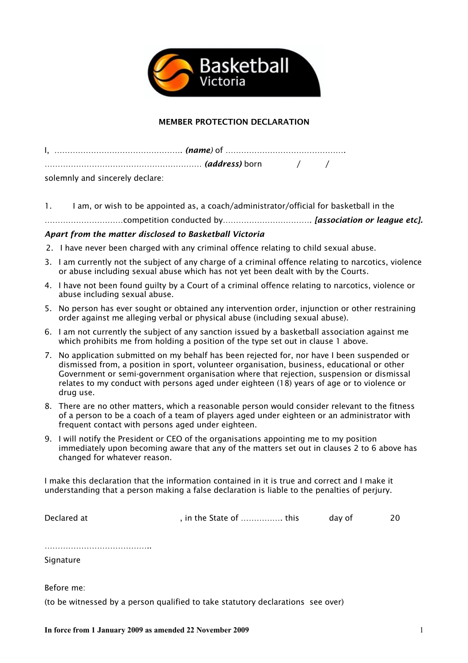

## MEMBER PROTECTION DECLARATION

| solemnly and sincerely declare: |  |  |
|---------------------------------|--|--|

1. I am, or wish to be appointed as, a coach/administrator/official for basketball in the

…………………………competition conducted by……………………………. *[association or league etc].*

## *Apart from the matter disclosed to Basketball Victoria*

2. I have never been charged with any criminal offence relating to child sexual abuse.

- 3. I am currently not the subject of any charge of a criminal offence relating to narcotics, violence or abuse including sexual abuse which has not yet been dealt with by the Courts.
- 4. I have not been found guilty by a Court of a criminal offence relating to narcotics, violence or abuse including sexual abuse.
- 5. No person has ever sought or obtained any intervention order, injunction or other restraining order against me alleging verbal or physical abuse (including sexual abuse).
- 6. I am not currently the subject of any sanction issued by a basketball association against me which prohibits me from holding a position of the type set out in clause 1 above.
- 7. No application submitted on my behalf has been rejected for, nor have I been suspended or dismissed from, a position in sport, volunteer organisation, business, educational or other Government or semi-government organisation where that rejection, suspension or dismissal relates to my conduct with persons aged under eighteen (18) years of age or to violence or drug use.
- 8. There are no other matters, which a reasonable person would consider relevant to the fitness of a person to be a coach of a team of players aged under eighteen or an administrator with frequent contact with persons aged under eighteen.
- 9. I will notify the President or CEO of the organisations appointing me to my position immediately upon becoming aware that any of the matters set out in clauses 2 to 6 above has changed for whatever reason.

I make this declaration that the information contained in it is true and correct and I make it understanding that a person making a false declaration is liable to the penalties of perjury.

Declared at  $\qquad \qquad$ , in the State of ................. this day of 20

………………………………………

**Signature** 

Before me:

(to be witnessed by a person qualified to take statutory declarations see over)